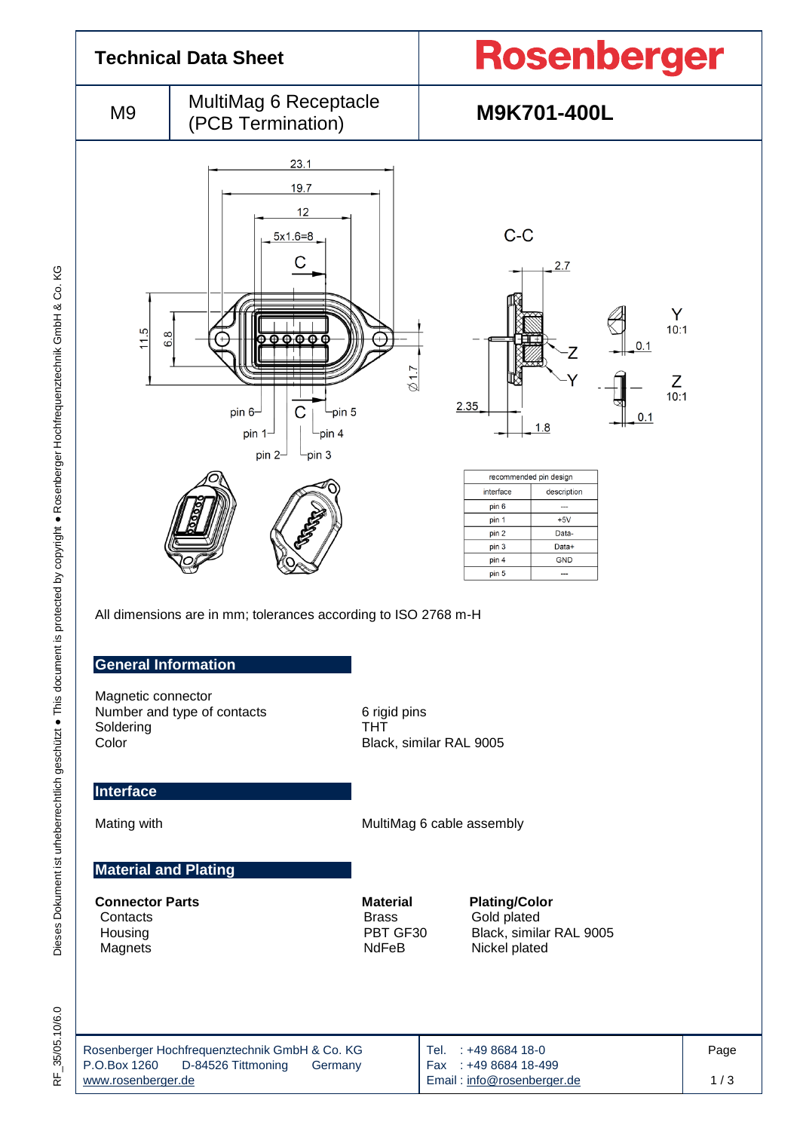

Email [: info@rosenberger.de](mailto:info@rosenberger.de)

1 / 3

[www.rosenberger.de](http://www.rosenberger.de/)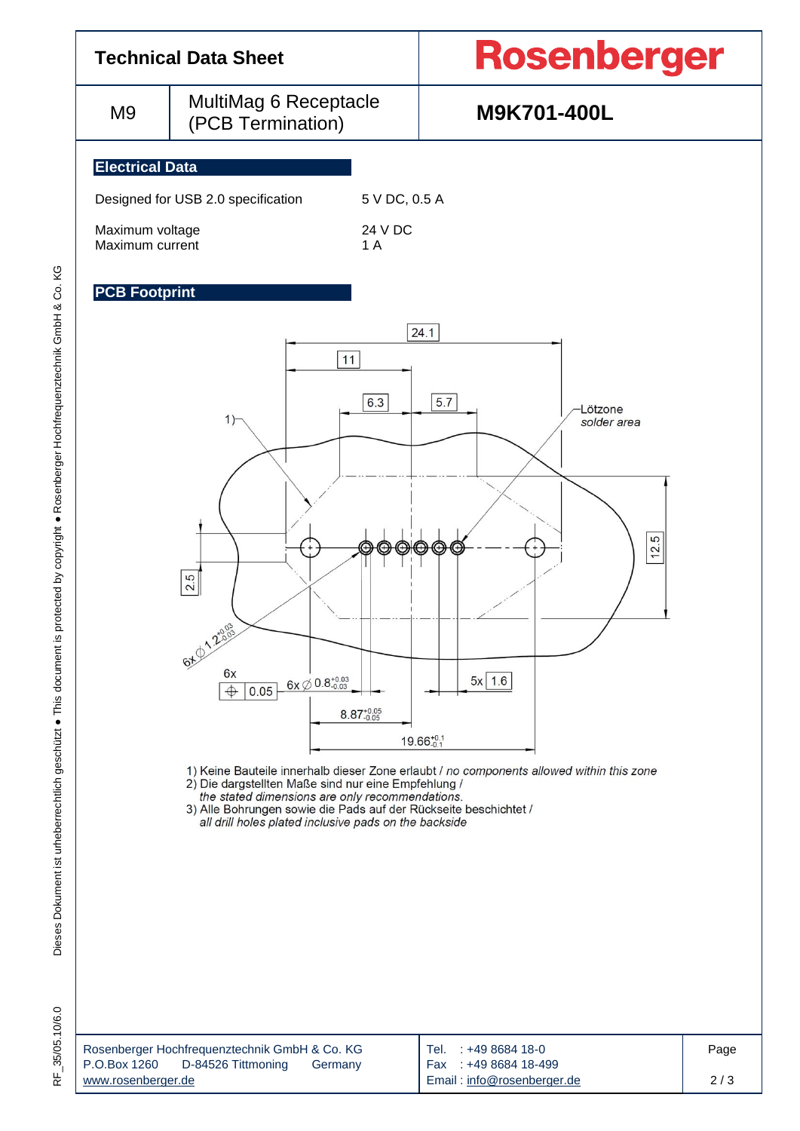

the stated dimensions are only recommendations.<br>3) Alle Bohrungen sowie die Pads auf der Rückseite beschichtet / all drill holes plated inclusive pads on the backside

Dieses Dokument ist urheberrechtlich geschützt ● This document is protected by copyright ● Rosenberger Hochfrequenztechnik GmbH & Co. KG

Dieses Dokument ist urheberrechtlich geschützt · This document is protected by copyright · Rosenberger Hochfrequenztechnik GmbH & Co. KG

| Rosenberger Hochfrequenztechnik GmbH & Co. KG | Tel. : +49 8684 18-0       | Page |
|-----------------------------------------------|----------------------------|------|
| P.O.Box 1260<br>D-84526 Tittmoning<br>Germany | Fax: +49 8684 18-499       |      |
| www.rosenberger.de                            | Email: info@rosenberger.de | 2/3  |
|                                               |                            |      |